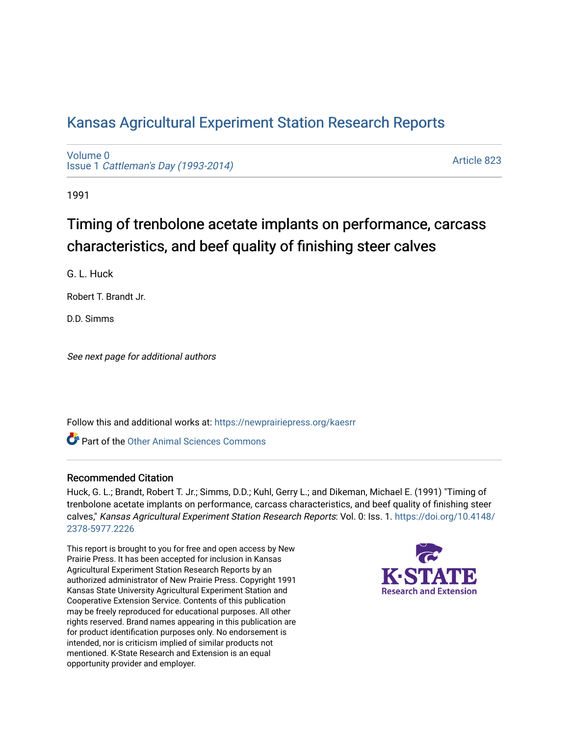# [Kansas Agricultural Experiment Station Research Reports](https://newprairiepress.org/kaesrr)

[Volume 0](https://newprairiepress.org/kaesrr/vol0) Issue 1 [Cattleman's Day \(1993-2014\)](https://newprairiepress.org/kaesrr/vol0/iss1) 

[Article 823](https://newprairiepress.org/kaesrr/vol0/iss1/823) 

1991

# Timing of trenbolone acetate implants on performance, carcass characteristics, and beef quality of finishing steer calves

G. L. Huck

Robert T. Brandt Jr.

D.D. Simms

See next page for additional authors

Follow this and additional works at: [https://newprairiepress.org/kaesrr](https://newprairiepress.org/kaesrr?utm_source=newprairiepress.org%2Fkaesrr%2Fvol0%2Fiss1%2F823&utm_medium=PDF&utm_campaign=PDFCoverPages) 

Part of the [Other Animal Sciences Commons](http://network.bepress.com/hgg/discipline/82?utm_source=newprairiepress.org%2Fkaesrr%2Fvol0%2Fiss1%2F823&utm_medium=PDF&utm_campaign=PDFCoverPages)

### Recommended Citation

Huck, G. L.; Brandt, Robert T. Jr.; Simms, D.D.; Kuhl, Gerry L.; and Dikeman, Michael E. (1991) "Timing of trenbolone acetate implants on performance, carcass characteristics, and beef quality of finishing steer calves," Kansas Agricultural Experiment Station Research Reports: Vol. 0: Iss. 1. [https://doi.org/10.4148/](https://doi.org/10.4148/2378-5977.2226) [2378-5977.2226](https://doi.org/10.4148/2378-5977.2226) 

This report is brought to you for free and open access by New Prairie Press. It has been accepted for inclusion in Kansas Agricultural Experiment Station Research Reports by an authorized administrator of New Prairie Press. Copyright 1991 Kansas State University Agricultural Experiment Station and Cooperative Extension Service. Contents of this publication may be freely reproduced for educational purposes. All other rights reserved. Brand names appearing in this publication are for product identification purposes only. No endorsement is intended, nor is criticism implied of similar products not mentioned. K-State Research and Extension is an equal opportunity provider and employer.

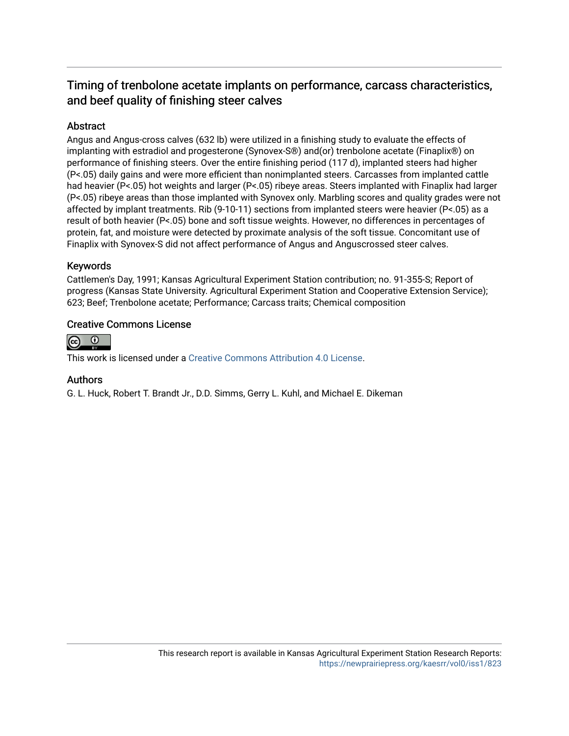## Timing of trenbolone acetate implants on performance, carcass characteristics, and beef quality of finishing steer calves

## Abstract

Angus and Angus-cross calves (632 lb) were utilized in a finishing study to evaluate the effects of implanting with estradiol and progesterone (Synovex-S®) and(or) trenbolone acetate (Finaplix®) on performance of finishing steers. Over the entire finishing period (117 d), implanted steers had higher (P<.05) daily gains and were more efficient than nonimplanted steers. Carcasses from implanted cattle had heavier (P<.05) hot weights and larger (P<.05) ribeye areas. Steers implanted with Finaplix had larger (P<.05) ribeye areas than those implanted with Synovex only. Marbling scores and quality grades were not affected by implant treatments. Rib (9-10-11) sections from implanted steers were heavier (P<.05) as a result of both heavier (P<.05) bone and soft tissue weights. However, no differences in percentages of protein, fat, and moisture were detected by proximate analysis of the soft tissue. Concomitant use of Finaplix with Synovex-S did not affect performance of Angus and Anguscrossed steer calves.

## Keywords

Cattlemen's Day, 1991; Kansas Agricultural Experiment Station contribution; no. 91-355-S; Report of progress (Kansas State University. Agricultural Experiment Station and Cooperative Extension Service); 623; Beef; Trenbolone acetate; Performance; Carcass traits; Chemical composition

### Creative Commons License



This work is licensed under a [Creative Commons Attribution 4.0 License](https://creativecommons.org/licenses/by/4.0/).

### Authors

G. L. Huck, Robert T. Brandt Jr., D.D. Simms, Gerry L. Kuhl, and Michael E. Dikeman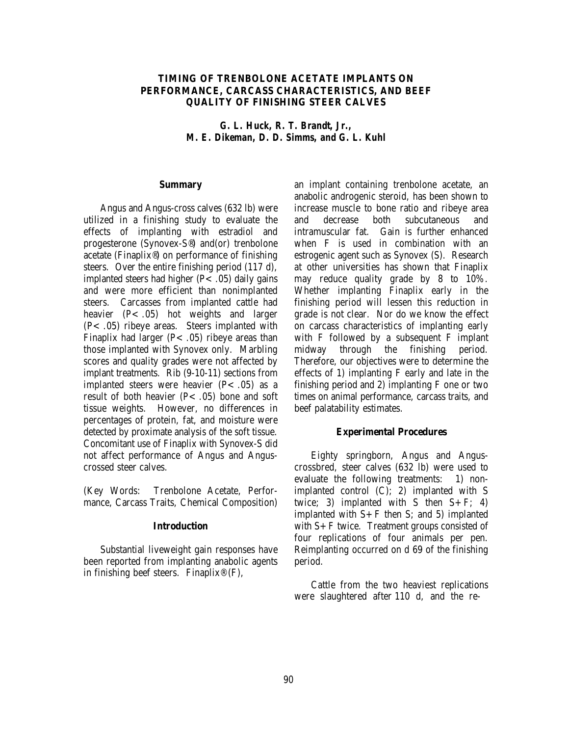#### **TIMING OF TRENBOLONE ACETATE IMPLANTS ON PERFORMANCE, CARCASS CHARACTERISTICS, AND BEEF QUALITY OF FINISHING STEER CALVES**

*G. L. Huck, R. T. Brandt, Jr., M. E. Dikeman, D. D. Simms, and G. L. Kuhl*

#### **Summary**

Angus and Angus-cross calves (632 lb) were utilized in a finishing study to evaluate the effects of implanting with estradiol and progesterone (Synovex-S®) and(or) trenbolone acetate (Finaplix®) on performance of finishing steers. Over the entire finishing period (117 d), implanted steers had higher  $(P<.05)$  daily gains and were more efficient than nonimplanted steers. Carcasses from implanted cattle had heavier (P< .05) hot weights and larger (P<.05) ribeye areas. Steers implanted with Finaplix had larger  $(P<.05)$  ribeye areas than those implanted with Synovex only. Marbling scores and quality grades were not affected by implant treatments. Rib (9-10-11) sections from implanted steers were heavier  $(P<.05)$  as a result of both heavier  $(P<.05)$  bone and soft tissue weights. However, no differences in percentages of protein, fat, and moisture were detected by proximate analysis of the soft tissue. Concomitant use of Finaplix with Synovex-S did not affect performance of Angus and Anguscrossed steer calves.

(Key Words: Trenbolone Acetate, Performance, Carcass Traits, Chemical Composition)

#### **Introduction**

Substantial liveweight gain responses have been reported from implanting anabolic agents in finishing beef steers. Finaplix<sup>®</sup>  $(F)$ ,

an implant containing trenbolone acetate, an anabolic androgenic steroid, has been shown to increase muscle to bone ratio and ribeye area and decrease both subcutaneous and intramuscular fat. Gain is further enhanced when F is used in combination with an estrogenic agent such as Synovex (S). Research at other universities has shown that Finaplix may reduce quality grade by 8 to 10%. Whether implanting Finaplix early in the finishing period will lessen this reduction in grade is not clear. Nor do we know the effect on carcass characteristics of implanting early with F followed by a subsequent F implant midway through the finishing period. Therefore, our objectives were to determine the effects of 1) implanting F early and late in the finishing period and 2) implanting F one or two times on animal performance, carcass traits, and beef palatability estimates.

#### **Experimental Procedures**

Eighty springborn, Angus and Anguscrossbred, steer calves (632 lb) were used to evaluate the following treatments: 1) nonimplanted control (C); 2) implanted with S twice; 3) implanted with S then  $S + F$ ; 4) implanted with  $S + F$  then S; and 5) implanted with S+F twice. Treatment groups consisted of four replications of four animals per pen. Reimplanting occurred on d 69 of the finishing period.

Cattle from the two heaviest replications were slaughtered after 110 d, and the re-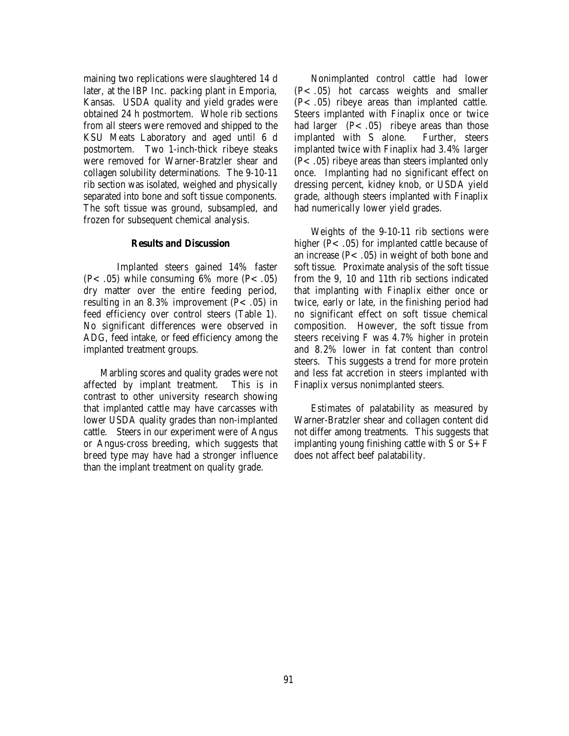maining two replications were slaughtered 14 d later, at the IBP Inc. packing plant in Emporia, Kansas. USDA quality and yield grades were obtained 24 h postmortem. Whole rib sections from all steers were removed and shipped to the KSU Meats Laboratory and aged until 6 d postmortem. Two 1-inch-thick ribeye steaks were removed for Warner-Bratzler shear and collagen solubility determinations. The 9-10-11 rib section was isolated, weighed and physically separated into bone and soft tissue components. The soft tissue was ground, subsampled, and frozen for subsequent chemical analysis.

#### **Results and Discussion**

Implanted steers gained 14% faster  $(P<.05)$  while consuming 6% more  $(P<.05)$ dry matter over the entire feeding period, resulting in an 8.3% improvement  $(P<.05)$  in feed efficiency over control steers (Table 1). No significant differences were observed in ADG, feed intake, or feed efficiency among the implanted treatment groups.

Marbling scores and quality grades were not affected by implant treatment. This is in contrast to other university research showing that implanted cattle may have carcasses with lower USDA quality grades than non-implanted cattle. Steers in our experiment were of Angus or Angus-cross breeding, which suggests that breed type may have had a stronger influence than the implant treatment on quality grade.

Nonimplanted control cattle had lower (P<.05) hot carcass weights and smaller  $(P<.05)$  ribeye areas than implanted cattle. Steers implanted with Finaplix once or twice had larger  $(P<.05)$  ribeye areas than those implanted with S alone. Further, steers implanted twice with Finaplix had 3.4% larger  $(P<.05)$  ribeye areas than steers implanted only once. Implanting had no significant effect on dressing percent, kidney knob, or USDA yield grade, although steers implanted with Finaplix had numerically lower yield grades.

Weights of the 9-10-11 rib sections were higher ( $P$ < .05) for implanted cattle because of an increase  $(P<.05)$  in weight of both bone and soft tissue. Proximate analysis of the soft tissue from the 9, 10 and 11th rib sections indicated that implanting with Finaplix either once or twice, early or late, in the finishing period had no significant effect on soft tissue chemical composition. However, the soft tissue from steers receiving F was 4.7% higher in protein and 8.2% lower in fat content than control steers. This suggests a trend for more protein and less fat accretion in steers implanted with Finaplix versus nonimplanted steers.

Estimates of palatability as measured by Warner-Bratzler shear and collagen content did not differ among treatments. This suggests that implanting young finishing cattle with  $S$  or  $S + F$ does not affect beef palatability.